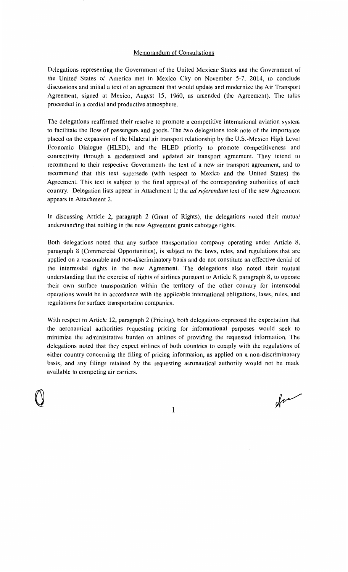#### Memorandum of Consultations

Delegations representing the Government of the United Mexican States and the Government of the United States of America met in Mexico City on November 5-7, 2014, to conclude discussions and initial a text of an agreement that would update and modernize the Air Transport Agreement, signed at Mexico, August 15, 1960, as amended (the Agreement). The talks proceeded in a cordial and productive atmosphere.

The delegations reaffirmed their resolve to promote a competitive international aviation system to facilitate the flow of passengers and goods. The two delegations took note of the importance placed on the expansion of the bilateral air transport relationship by the U.S.-Mexico High Level Economic Dialogue (HLED), and the HLED priority to promote competitiveness and connectivity through a modernized and updated air transport agreement. They intend to recommend to their respective Governments the text of a new air transport agreement, and to recommend that this text supersede (with respect to Mexico and the United States) the Agreement. This text is subject to the final approval of the corresponding authorities of each country. Delegation lists appear in Attachment 1; the *ad referendum* text of the new Agreement appears in Attachment 2.

In discussing Article 2, paragraph 2 (Grant of Rights), the delegations noted their mutual understanding that nothing in the new Agreement grants cabotage rights.

Both delegations noted that any surface transportation company operating under Article 8, paragraph 8 (Commercial Opportunities), is subject to the laws, rules, and regulations that are applied on a reasonable and non-discriminatory basis and do not constitute an effective denial of the intermodal rights in the new Agreement. The delegations also noted their mutual understanding that the exercise of rights of airlines pursuant to Article 8, paragraph 8, to operate their own surface transportation within the territory of the other country for intermodal operations would be in accordance with the applicable international obligations, laws, rules, and regulations for surface transportation companies.

With respect to Article 12, paragraph 2 (Pricing), both delegations expressed the expectation that the aeronautical authorities requesting pricing for informational purposes would seek to minimize the administrative burden on airlines of providing the requested information. The delegations noted that they expect airlines of both countries to comply with the regulations of either country concerning the filing of pricing information, as applied on a non-discriminatory basis, and any filings retained by the requesting aeronautical authority would not be made available to competing air carriers.

du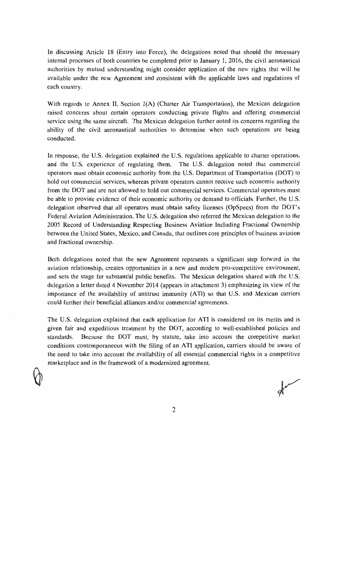In discussing Article 18 (Entry into Force), the delegations noted that should the necessary internal processes of both countries be completed prior to January 1, 2016, the civil aeronautical authorities by mutual understanding might consider application of the new rights that will be available under the new Agreement and consistent with the applicable laws and regulations of each country.

With regards to Annex II, Section 1(A) (Charter Air Transportation), the Mexican delegation raised concerns about certain operators conducting private flights and offering commercial service using the same aircraft. The Mexican delegation further noted its concerns regarding the ability of the civil aeronautical authorities to determine when such operations are being conducted.

In response, the U.S. delegation explained the U.S. regulations applicable to charter operations, and the U.S. experience of regulating them. The U.S. delegation noted that commercial operators must obtain economic authority from the U.S. Department of Transportation (DOT) to hold out commercial services, whereas private operators cannot receive such economic authority from the DOT and are not allowed to hold out commercial services. Commercial operators must be able to provide evidence of their economic authority on demand to officials. Further, the U.S. delegation observed that all operators must obtain safety licenses (OpSpecs) from the DOT's Federal Aviation Administration. The U.S. delegation also referred the Mexican delegation to the 2005 Record of Understanding Respecting Business Aviation Including Fractional Ownership between the United States, Mexico, and Canada, that outlines core principles of business aviation and fractional ownership.

Both delegations noted that the new Agreement represents a significant step forward in the aviation relationship, creates opportunities in a new and modern pro-competitive environment, and sets the stage for substantial public benefits. The Mexican delegation shared with the U.S. delegation a letter dated 4 November 2014 (appears in attachment 3) emphasizing its view of the importance of the availability of antitrust immunity (ATI) so that U.S. and Mexican carriers could further their beneficial alliances and/or commercial agreements.

The U.S. delegation explained that each application for ATI is considered on its merits and is given fair and expeditious treatment by the DOT, according to well-established policies and standards. Because the DOT must, by statute, take into account the competitive market conditions contemporaneous with the filing of an ATI application, carriers should be aware of the need to take into account the availability of all essential commercial rights in a competitive marketplace and in the framework of a modernized agreement.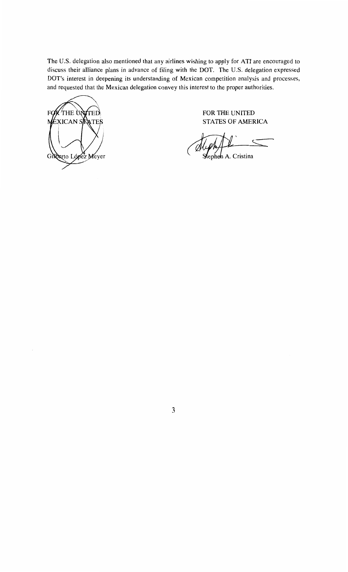The U.S. delegation also mentioned that any airlines wishing to apply for ATI are encouraged to discuss their alliance plans in advance of filing with the DOT. The U.S. delegation expressed DOT's interest in deepening its understanding of Mexican competition analysis and processes, and requested that the Mexican delegation convey this interest to the proper authorities.

THE Ù Exican st **\TES** derto López Meyer

FOR THE UNITED STATES OF AMERICA

Stephen A. Cristina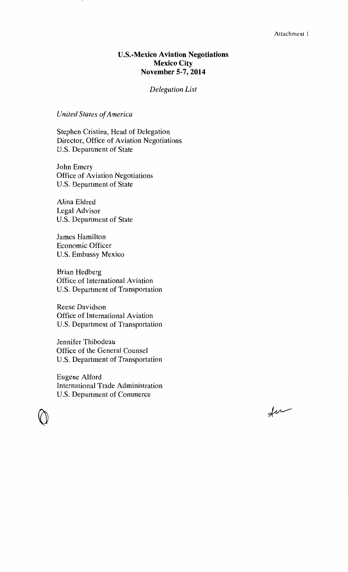## **U.S.-Mexico Aviation Negotiations Mexico City November 5-7, 2014**

## *Delegation List*

#### *United States of America*

Stephen Cristina, Head of Delegation Director, Office of Aviation Negotiations U.S. Department of State

John Emery Office of Aviation Negotiations U.S. Department of State

Alina Eldred Legal Advisor U.S. Department of State

James Hamilton Economic Officer U.S. Embassy Mexico

Brian Hedberg Office of International Aviation U.S. Department of Transportation

Reese Davidson Office of International Aviation U.S. Department of Transportation

Jennifer Thibodeau Office of the General Counsel U.S. Department of Transportation

Eugene Alford International Trade Administration U.S. Department of Commerce

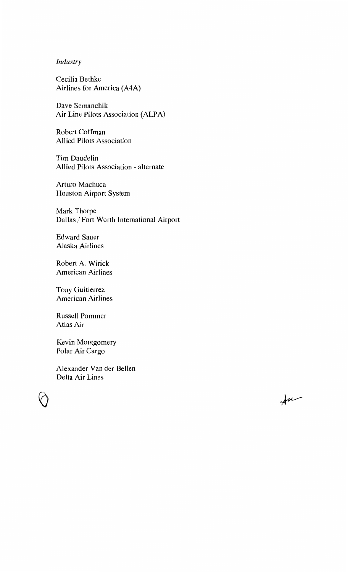### *Industry*

Cecilia Bethke Airlines for America (A4A)

Dave Semanchik Air Line Pilots Association (ALPA)

Robert Coffman Allied Pilots Association

Tim Daudelin Allied Pilots Association - alternate

Arturo Machuca Houston Airport System

Mark Thorpe Dallas / Fort Worth International Airport

Edward Sauer Alaska Airlines

Robert A. Wirick American Airlines

Tony Guitierrez American Airlines

Russell Pommer Atlas Air

Kevin Montgomery Polar Air Cargo

Alexander Vander Bellen Delta Air Lines



for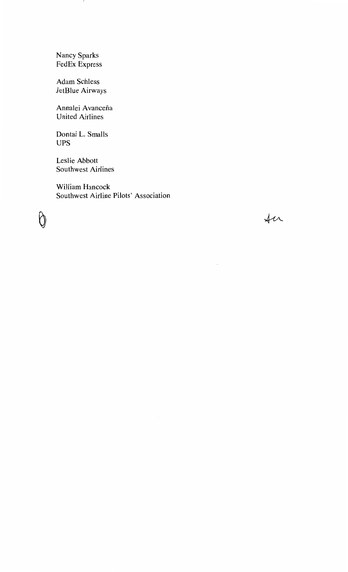Nancy Sparks FedEx Express

 $\mathbf{1}$ 

Adam Schiess JetBlue Airways

Annalei Avanceña United Airlines

Dontai L. Smalls UPS

Leslie Abbott Southwest Airlines

William Hancock Southwest Airline Pilots' Association

 $\emptyset$ 

 $4u$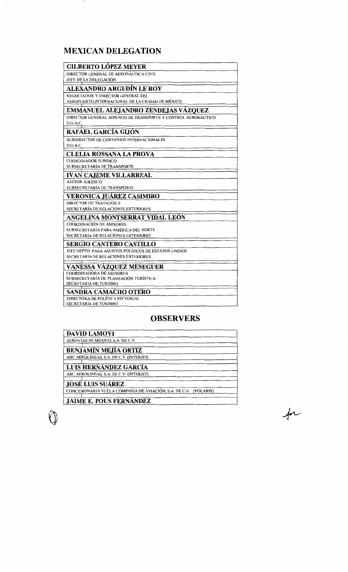# **MEXICAN DELEGATION**

л.

| <b>GILBERTO LÓPEZ MEYER</b>                                  |
|--------------------------------------------------------------|
| DIRECTOR GENERAL DE AERONÁUTICA CIVIL                        |
| JEFE DE LA DELEGACIÓN                                        |
| ALEXANDRO ARGUDÍN LE ROY                                     |
| NEGOCIADOR Y DIRECTOR GENERAL DEL                            |
| AEROPUERTO INTERNACIONAL DE LA CIUDAD DE MÉXICO              |
| EMMANUEL ALEJANDRO ZENDEJAS VÁZQUEZ                          |
| DIRECTOR GENERAL ADJUNTO DE TRANSPORTE Y CONTROL AERONÁUTICO |
| D.G.A.C.                                                     |
| RAFAEL GARCÍA GLJÓN                                          |
| SUBDIRECTOR DE CONVENIOS INTERNACIONALES                     |
| D.G.A.C.                                                     |
| <b>CLELIA ROSSANA LA PROVA</b>                               |
| COORDINADOR JURÍDICO                                         |
| SUBSECRETARÍA DE TRANSPORTE                                  |
| <b>IVAN CAJEME VILLARREAL</b>                                |
| <b>ASESOR JURÍDICO</b>                                       |
| SUBSECRETARÍA DE TRANSPORTE                                  |
| <b>VERONICA JUÁREZ CASIMIRO</b>                              |
| <b>DIRECTOR DE TRATADOS II</b>                               |
| SECRETARÍA DE RELACIONES EXTERIORES                          |
| ANGELINA MONTSERRAT VIDAL LEÓN                               |
| <b>COORDINACIÓN DE ASESORES</b>                              |
| SUBSECRETARÍA PARA AMÉRICA DEL NORTE                         |
| SECRETARÍA DE RELACIONES EXTERIORES                          |
| <b>SERGIO CANTERO CASTILLO</b>                               |
| JEFE DEPTO. PARA ASUNTOS POLÍTICOS DE ESTADOS UNIDOS         |
| SECRETARÍA DE RELACIONES EXTERIORES                          |
| VANESSA VÁZQUEZ MESEGUER                                     |
| <b>COORDINADORA DE ASESORES</b>                              |
| SUBSECRETARÍA DE PLANEACIÓN TURÍSTICA                        |
| SECRETARÍA DE TURISMO                                        |
| <b>SANDRA CAMACHO OTERO</b>                                  |
| DIRECTORA DE POLÍTICA SECTORIAL                              |
| SECRETARÍA DE TURISMO                                        |

## **OBSERVERS**

for

| <b>DAVID LAMOYI</b>                                              |  |
|------------------------------------------------------------------|--|
| AEROVÍAS DE MÉXICO, S.A. DE C.V.                                 |  |
| <b>BENJAMÍN MEJÍA ORTIZ</b>                                      |  |
| ABC AEROLÍNEAS, S.A. DE C.V. (INTERJET)                          |  |
| <b>LUIS HERNÁNDEZ GARCÍA</b>                                     |  |
| ABC AEROLÍNEAS, S.A. DE C.V. (INTERJET)                          |  |
| <b>JOSÉ LUIS SUÁREZ</b>                                          |  |
| CONCESIONARIA VUELA COMPAÑÍA DE AVIACIÓN, S.A. DE C.V. (VOLARIS) |  |
| <b>JAIME E. POUS FERNÁNDEZ</b>                                   |  |

 $\hat{Q}$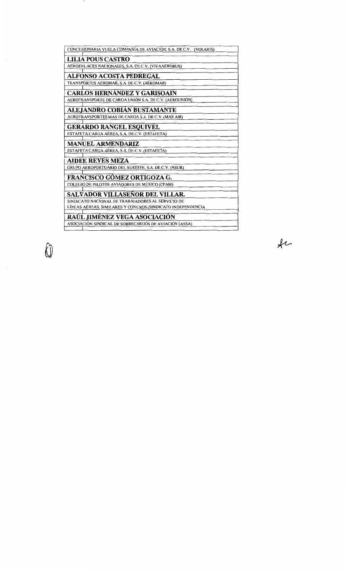| CONCESIONARIA VUELA COMPAÑÍA DE AVIACIÓN, S.A. DE C.V. (VOLARIS) |
|------------------------------------------------------------------|
|                                                                  |
| <b>LILIA POUS CASTRO</b>                                         |
| AEROENLACES NACIONALES, S.A. DE C.V. (VIVAAEROBUS)               |
| ALFONSO ACOSTA PEDREGAL                                          |
|                                                                  |
| TRANSPORTES AEROMAR, S.A. DE C.V. (AEROMAR)                      |
| <b>CARLOS HERNÁNDEZ Y GARISOAIN</b>                              |
| AEROTRANSPORTE DE CARGA UNIÓN S.A. DE C.V. (AEROUNIÓN)           |
|                                                                  |
| ALEJANDRO COBIÁN BUSTAMANTE                                      |
| AEROTRANSPORTES MAS DE CARGA S.A. DE C.V. (MAS AIR)              |
|                                                                  |
| <b>GERARDO RANGEL ESQUIVEL</b>                                   |
| ESTAFETA CARGA AÉREA, S.A. DE C.V. (ESTAFETA)                    |
| <b>MANUEL ARMENDARIZ</b>                                         |
| ESTAFETA CARGA AÉREA, S.A. DE C.V. (ESTAFETA)                    |
|                                                                  |
| <b>AIDEE REYES MEZA</b>                                          |
| GRUPO AEROPORTUARIO DEL SURESTE, S.A. DE C.V. (ASUR)             |
|                                                                  |
| FRANCISCO GÓMEZ ORTIGOZA G.                                      |
| COLEGIO DE PILOTOS AVIADORES DE MÉXICO (CPAM)                    |
|                                                                  |
| SALVADOR VILLASEÑOR DEL VILLAR.                                  |
| SINDICATO NACIONAL DE TRABAJADORES AL SERVICIO DE                |
| LÍNEAS AÉREAS, SIMILARES Y CONEXOS (SINDICATO INDEPENDENCIA      |
|                                                                  |
| RAŬL JIMÉNEZ VEGA ASOCIACIÓN                                     |
| ASOCIACIÓN SINDICAL DE SOBRECARGOS DE AVIACIÓN (ASSA)            |

 $\begin{picture}(20,20) \put(0,0){\line(1,0){10}} \put(15,0){\line(1,0){10}} \put(15,0){\line(1,0){10}} \put(15,0){\line(1,0){10}} \put(15,0){\line(1,0){10}} \put(15,0){\line(1,0){10}} \put(15,0){\line(1,0){10}} \put(15,0){\line(1,0){10}} \put(15,0){\line(1,0){10}} \put(15,0){\line(1,0){10}} \put(15,0){\line(1,0){10}} \put(15,0){\line(1$ 

 $\mathbf{1}$ 

 $\overline{\mathcal{X}}$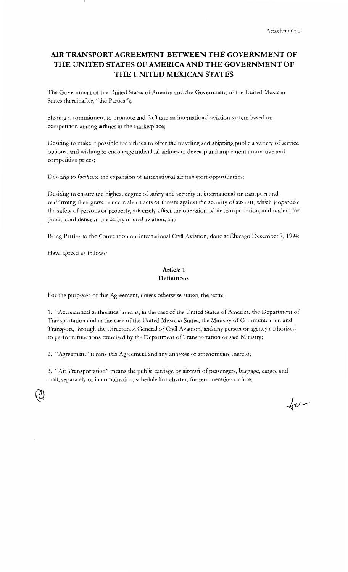## **AIR TRANSPORT AGREEMENT BETWEEN THE GOVERNMENT OF THE UNITED STATES OF AMERICA AND THE GOVERNMENT OF THE UNITED MEXICAN STATES**

The Government of the United States of America and the Government of the United Mexican States (hereinafter, "the Parties");

Sharing a commitment to promote and facilitate an international aviation system based on competition among airlines in the marketplace;

Desiring to make it possible for airlines to offer the traveling and shipping public a variety of service options, and wishing to encourage individual airlines to develop and implement innovative and competitive prices;

Desiring to facilitate the expansion of international air transport opportunities;

Desiring to ensure the highest degree of safety and security in international air transport and reaffirming their grave concern about acts or threats against the security of aircraft, which jeopardize the safety of persons or property, adversely affect the operation of air transportation, and undermine public confidence in the safety of civil aviation; and

Being Parties to the Convention on International Civil Aviation, done at Chicago December 7, 1944;

Have agreed as follows:

#### **Article 1 Definitions**

For the purposes of this Agreement, unless otherwise stated, the term:

1. "Aeronautical authorities" means, in the case of the United States of America, the Department of Transportation and in the case of the United Mexican States, the Ministry of Communication and Transport, through the Directorate General of Civil Aviation, and any person or agency authorized to perform functions exercised by the Department of Transportation or said Ministry;

2. "Agreement" means this Agreement and any annexes or amendments thereto;

3. "Air Transportation" means the public carriage by aircraft of passengers, baggage, cargo, and mail, separately or in combination, scheduled or charter, for remuneration or hire;

(0

fu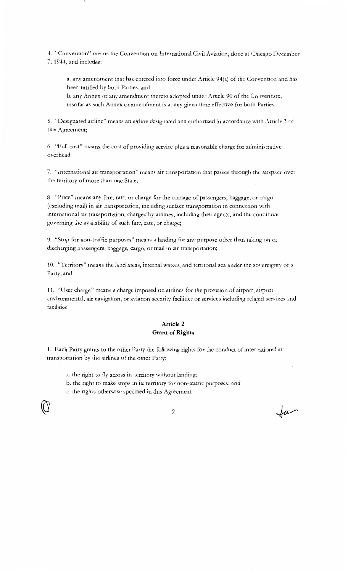4. "Convention" means the Convention on International Civil Aviation, done at Chicago December 7, 1944, and includes:

a. any amendment that has entered into force under Article 94(a) of the Convention and has been ratified by both Parties, and

b. any Annex or any amendment thereto adopted under Article 90 of the Convention, insofar as such Annex or amendment is at any given time effective for both Parties;

5. "Designated airline" means an airline designated and authorized in accordance with Article 3 of this Agreement;

6. "Full cost" means the cost of providing service plus a reasonable charge for administrative overhead:

7. "International air transportation" means air transportation that passes through the airspace over the territory of more than one State;

8. "Price" means any fare, rate, or charge for the carriage of passengers, baggage, or cargo (excluding mail) in air transportation, including surface transportation in connection with international air transportation, charged by airlines, including their agents, and the conditions governing the availability of such fare, rate, or charge;

9. "Stop for non-traffic purposes" means a landing for any purpose other than taking on or discharging passengers, baggage, cargo, or mail in air transportation;

10. "Territory" means the land areas, internal waters, and territorial sea under the sovereignty of a Party; and

11. "User charge" means a charge imposed on airlines for the provision of airport, airport environmental, air navigation, or aviation security facilities or services including related services and facilities.

### **Article 2 Grant of Rights**

1. Each Party grants to the other Party the following rights for the conduct of international air transportation by the airlines of the other Party:

a. the right to fly across its territory without landing;

b. the right to make stops in its territory for non-traffic purposes; and

c. the rights otherwise specified in this Agreement.

| I<br>I |
|--------|
| I      |
| ___    |

tu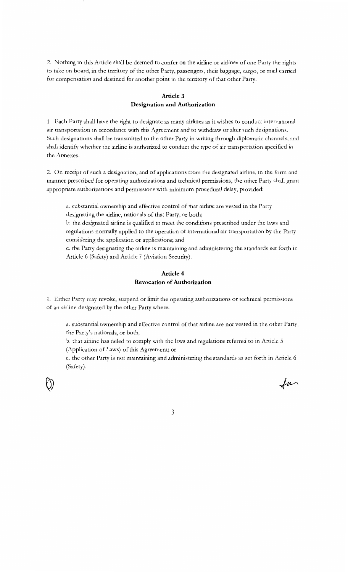2. Nothing in this Article shall be deemed to confer on the airline or airlines of one Party the rights to take on board, in the territory of the other Party, passengers, their baggage, cargo, or mail carried for compensation and destined for another point in the territory of that other Party.

#### **Article 3 Designation and Authorization**

1. Each Party shall have the right to designate as many airlines as it wishes to conduct international air transportation in accordance with this Agreement and to withdraw or alter such designations. Such designations shall be transmitted to the other Party in writing through diplomatic channels, and shall identify whether the airline is authorized to conduct the type of air transportation specified in the Annexes.

2. On receipt of such a designation, and of applications from the designated airline, in the form and manner prescribed for operating authorizations and technical permissions, the other Party shall grant appropriate authorizations and permissions with minimum procedural delay, provided:

a. substantial ownership and effective control of that airline are vested in the Party designating the airline, nationals of that Party, or both;

b. the designated airline is qualified to meet the conditions prescribed under the laws and regulations normally applied to the operation of international air transportation by the Party considering the application or applications; and

c. the Party designating the airline is maintaining and administering the standards set forth in Article 6 (Safety) and Article 7 (Aviation Security).

#### **Article 4 Revocation of Authorization**

1. Either Party may revoke, suspend or limit the operating authorizations or technical permissions of an airline designated by the other Party where:

a. substantial ownership and effective control of that airline are not vested in the other Party, the Party's nationals, or both;

b. that airline has failed to comply with the laws and regulations referred to in Article 5 (Application of Laws) of this Agreement; or

c. the other Party is not maintaining and administering the standards as set forth in Article 6 (Safety).

 $\downarrow$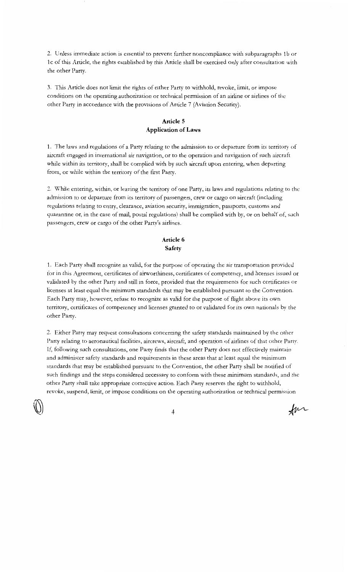2. Unless immediate action is essential to prevent further noncompliance with subparagraphs 1b or 1 c of this Article, the rights established by this Article shall be exercised only after consultation with the other Party.

3. This Article does not limit the rights of either Party to withhold, revoke, limit, or impose conditions on the operating authorization or technical permission of an airline or airlines of the other Party in accordance with the provisions of Article 7 (Aviation Security).

### **Article 5 Application of Laws**

1. The laws and regulations of a Party relating to the admission to or departure from its territory of aircraft engaged in international air navigation, or to the operation and navigation of such aircraft while within its territory, shall be complied with by such aircraft upon entering, when departing from, or while within the territory of the first Party.

2. While entering, within, or leaving the territory of one Party, its laws and regulations relating to the admission to or departure from its territory of passengers, crew or cargo on aircraft (including regulations relating to entry, clearance, aviation security, immigration, passports, customs and quarantine or, in the case of mail, postal regulations) shall be complied with by, or on behalf of, such passengers, crew or cargo of the other Party's airlines.

#### **Article 6 Safety**

1. Each Party shall recognize as valid, for the purpose of operating the air transportation provided for in this Agreement, certificates of airworthiness, certificates of competency, and licenses issued or validated by the other Party and still in force, provided that the requirements for such certificates or licenses at least equal the minimum standards that may be established pursuant to the Convention. Each Party may, however, refuse to recognize as valid for the purpose of flight above its own territory, certificates of competency and licenses granted to or validated for its own nationals by the other Party.

2. Either Party may request consultations concerning the safety standards maintained by the other Party relating to aeronautical facilities, aircrews, aircraft, and operation of airlines of that other Party. If, following such consultations, one Party finds that the other Party does not effectively maintain and administer safety standards and requirements in these areas that at least equal the minimum standards that may be established pursuant to the Convention, the other Party shall be notified of such findings and the steps considered necessary to conform with these minimum standards, and the other Party shall take appropriate corrective action. Each Party reserves the right to withhold, revoke, suspend, limit, or impose conditions on the operating authorization or technical permission

for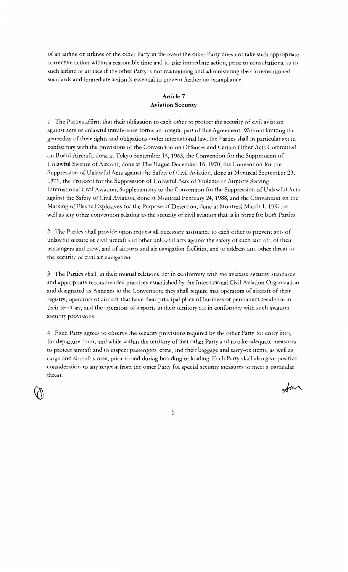of an airline or airlines of the other Party in the event the other Party does not take such appropriate corrective action within a reasonable time and to take immediate action, prior to consultations, as to such airline or airlines if the other Party is not maintaining and administering the aforementioned standards and immediate action is essential to prevent further noncompliance.

## **Article 7 Aviation Security**

1. The Parties affirm that their obligation to each other to protect the security of civil aviation against acts of unlawful interference forms an integral part of this Agreement. Without limiting the generality of their rights and obligations under international law, the Parties shall in particular act in conformity with the provisions of the Convention on Offenses and Certain Other Acts Committed on Board Aircraft, done at Tokyo September 14, 1963, the Convention for the Suppression of Cnlawful Seizure of Aircraft, done at The Hague December 16, 1970, the Convention for the Suppression of Unlawful Acts against the Safety of Civil Aviation, done at Montreal September 23, 1971, the Protocol for the Suppression of Unlawful Acts of Violence at Airports Serving International Civil Aviation, Supplementary to the Convention for the Suppression of Unlawful Acts against the Safety of Civil Aviation, done at Montreal February 24, 1988, and the Convention on the Marking of Plastic Explosives for the Purpose of Detection, done at Montreal March 1, 1991, as well as any other convention relating to the security of civil aviation that is in force for both Parties.

2. The Parties shall provide upon request all necessary assistance to each other to prevent acts of unlawful seizure of civil aircraft and other unlawful acts against the safety of such aircraft, of their passengers and crew, and of airports and air navigation facilities, and to address any other threat to the security of civil air navigation.

3. The Parties shall, in their mutual relations, act in conformity with the aviation security standards and appropriate recommended practices established by the International Civil Aviation Organization and designated as Annexes to the Convention; they shall require that operators of aircraft of their registry, operators of aircraft that have their principal place of business or permanent residence in their territory, and the operators of airports in their territory act in conformity with such aviation security provisions.

4. Each Party agrees to observe the security provisions required by the other Party for entry into, for departure from, and while within the territory of that other Party and to take adequate measures to protect aircraft and to inspect passengers, crew, and their baggage and carry-on items, as well as cargo and aircraft stores, prior to and during boarding or loading. Each Party shall also give positive consideration to any request from the other Party for special security measures to meet a particular threat.

for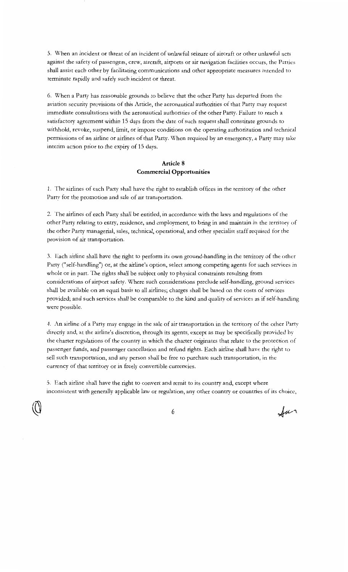5. When an incident or threat of an incident of unlawful seizure of aircraft or other unlawful acts against the safety of passengers, crew, aircraft, airports or air navigation facilities occurs, the Parties shall assist each other by facilitating communications and other appropriate measures intended to terminate rapidly and safely such incident or threat.

6. When a Party has reasonable grounds to believe that the other Party has departed from the aviation security provisions of this Article, the aeronautical authorities of that Party may request immediate consultations with the aeronautical authorities of the other Party. Failure to reach a satisfactory agreement within 15 days from the date of such request shall constitute grounds to withhold, revoke, suspend, limit, or impose conditions on the operating authorization and technical permissions of an airline or airlines of that Party. When required by an emergency, a Party may take interim action prior to the expiry of 15 days.

#### **Article 8 Commercial Opportunities**

1. The airlines of each Party shall have the right to establish offices in the territory of the other Party for the promotion and sale of air transportation.

2. The airlines of each Party shall be entitled, in accordance with the laws and regulations of the other Party relating to entry, residence, and employment, to bring in and maintain in the territory of the other Party managerial, sales, technical, operational, and other specialist staff required for the provision of air transportation.

3. Each airline shall have the right to perform its own ground-handling in the territory of the other Party ("self-handling") or, at the airline's option, select among competing agents for such services in whole or in part. The rights shall be subject only to physical constraints resulting from considerations of airport safety. Where such considerations preclude self-handling, ground services shall be available on an equal basis to all airlines; charges shall be based on the costs of services provided; and such services shall be comparable to the kind and quality of services as if self-handling were possible.

4. An airline of a Party may engage in the sale of air transportation in the territory of the other Party directly and, at the airline's discretion, through its agents, except as may be specifically provided by the charter regulations of the country in which the charter originates that relate to the protection of passenger funds, and passenger cancellation and refund rights. Each airline shall have the right to sell such transportation, and any person shall be free to purchase such transportation, in the currency of that territory or in freely convertible currencies.

5. Each airline shall have the right to convert and remit to its country and, except where inconsistent with generally applicable law or regulation, any other country or countries of its choice,

6

 $\mathcal{U}$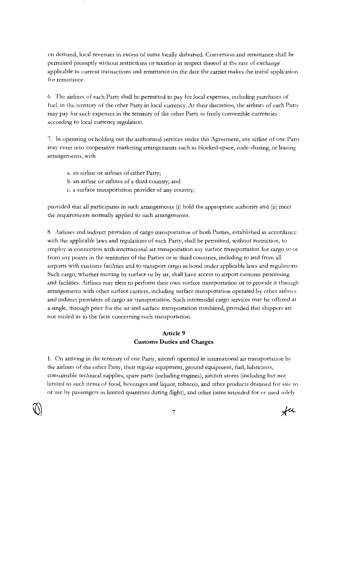on demand, local revenues in excess of sums locally disbursed. Conversion and remittance shall be permitted promptly without restrictions or taxation in respect thereof at the rate of exchange applicable to current transactions and remittance on the date the carrier makes the initial application for remittance.

6. The airlines of each Party shall be permitted to pay for local expenses, including purchases of fuel, in the territory of the other Party in local currency. At their discretion, the airlines of each Party may pay for such expenses in the territory of the other Party in freely convertible currencies according to local currency regulation.

7. In operating or holding out the authorized services under this Agreement, any airline of one Party may enter into cooperative marketing arrangements such as blocked-space, code-sharing, or leasing arrangements, with

- a. an airline or airlines of either Party;
- b. an airline or airlines of a third country; and
- c. a surface transportation provider of any country;

provided that all participants in such arrangements (i) hold the appropriate authority and (ii) meet the requirements normally applied to such arrangements.

8. Airlines and indirect providers of cargo transportation of both Parties, established in accordance with the applicable laws and regulations of each Party, shall be permitted, without restriction, to employ in connection with international air transportation any surface transportation for cargo to or from any points in the territories of the Parties or in third countries, including to and from all airports with customs facilities and to transport cargo in bond under applicable laws and regulations. Such cargo, whether moving by surface or by air, shall have access to airport customs processing and facilities. Airlines may elect to perform their own surface transportation or to provide it through arrangements with other surface carriers, including surface transportation operated by other airlines and indirect providers of cargo air transportation. Such intermodal cargo services may be offered at a single, through price for the air and surface transportation combined, provided that shippers are not misled as to the facts concerning such transportation.

#### **Article 9 Customs Duties and Charges**

1. On arriving in the territory of one Party, aircraft operated in international air transportation by the airlines of the other Party, their regular equipment, ground equipment, fuel, lubricants, consumable technical supplies, spare parts (including engines), aircraft stores (including but not limited to such items of food, beverages and liquor, tobacco, and other products destined for sale to or use by passengers in limited quantities during flight), and other items intended for or used solely

 $\mathcal{H}^{\mathcal{U}}$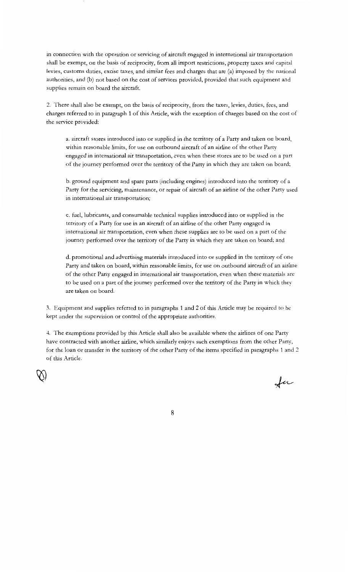in connection with the operation or servicing of aircraft engaged in international air transportation shall be exempt, on the basis of reciprocity, from all import restrictions, property taxes and capital levies, customs duties, excise taxes, and similar fees and charges that are (a) imposed by the national authorities, and (b) not based on the cost of services provided, provided that such equipment and supplies remain on board the aircraft.

2. There shall also be exempt, on the basis of reciprocity, from the taxes, levies, duties, fees, and charges referred to in paragraph 1 of this Article, with the exception of charges based on the cost of the service provided:

a. aircraft stores introduced into or supplied in the territory of a Party and taken on board, within reasonable limits, for use on outbound aircraft of an airline of the other Party engaged in international air transportation, even when these stores are to be used on a part of the journey performed over the territory of the Party in which they are taken on board;

b. ground equipment and spare parts (including engines) introduced into the territory of a Party for the servicing, maintenance, or repair of aircraft of an airline of the other Party used in international air transportation;

c. fuel, lubricants, and consumable technical supplies introduced into or supplied in the territory of a Party for use in an aircraft of an airline of the other Party engaged in international air transportation, even when these supplies are to be used on a part of the journey performed over the territory of the Party in which they are taken on board; and

d. promotional and advertising materials introduced into or supplied in the territory of one Party and taken on board, within reasonable limits, for use on outbound aircraft of an airline of the other Party engaged in international air transportation, even when these materials are to be used on a part of the journey performed over the territory of the Party in which they are taken on board.

3. Equipment and supplies referred to in paragraphs 1 and 2 of this Article may be required to be kept under the supervision or control of the appropriate authorities.

4. The exemptions provided by this Article shall also be available where the airlines of one Party have contracted with another airline, which similarly enjoys such exemptions from the other Party, for the loan or transfer in the territory of the other Party of the items specified in paragraphs 1 and *2*  of this Article.

 $\downarrow$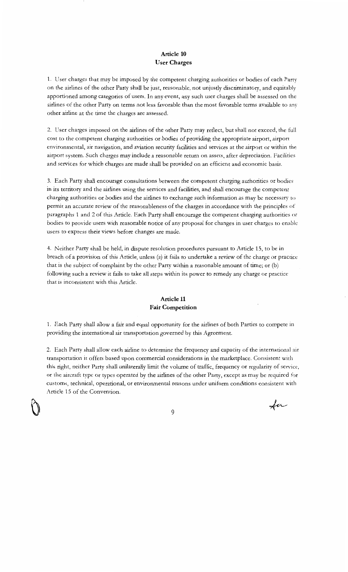#### **Article 10 User Charges**

1. User charges that may be imposed by the competent charging authorities or bodies of each Party on the airlines of the other Party shall be just, reasonable, not unjustly discriminatory, and equitably apportioned among categories of users. In any event, any such user charges shall be assessed on the airlines of the other Party on terms not less favorable than the most favorable terms available to any other airline at the time the charges are assessed.

2. User charges imposed on the airlines of the other Party may reflect, but shall not exceed, the full cost to the competent charging authorities or bodies of providing the appropriate airport, airport environmental, air navigation, and aviation security facilities and services at the airport or within the airport system. Such charges may include a reasonable return on assets, after depreciation. Facilities and services for which charges are made shall be provided on an efficient and economic basis.

3. Each Party shall encourage consultations between the competent charging authorities or bodies in its territory and the airlines using the services and facilities, and shall encourage the competent charging authorities or bodies and the airlines to exchange such information as may be necessary to permit an accurate review of the reasonableness of the charges in accordance with the principles of paragraphs 1 and 2 of this Article. Each Party shall encourage the competent charging authorities or bodies to provide users with reasonable notice of any proposal for changes in user charges to enable users to express their views before changes are made.

4. Neither Party shall be held, in dispute resolution procedures pursuant to Article 15, to be in breach of a provision of this Article, unless (a) it fails to undertake a review of the charge or practice that is the subject of complaint by the other Party within a reasonable amount of time; or (b) following such a review it fails to take all steps within its power to remedy any charge or practice that is inconsistent with this Article.

## **Article 11 Fair Competition**

1. Each Party shall allow a fair and equal opportunity for the airlines of both Parties to compete in providing the international air transportation governed by this Agreement.

2. Each Party shall allow each airline to determine the frequency and capacity of the international air transportation it offers based upon commercial considerations in the marketplace. Consistent with this right, neither Party shall unilaterally limit the volume of traffic, frequency or regularity of service, or the aircraft type or types operated by the airlines of the other Party, except as may be required for customs, technical, operational, or environmental reasons under uniform conditions consistent with Article 15 of the Convention.

for

 $\mathcal{S}$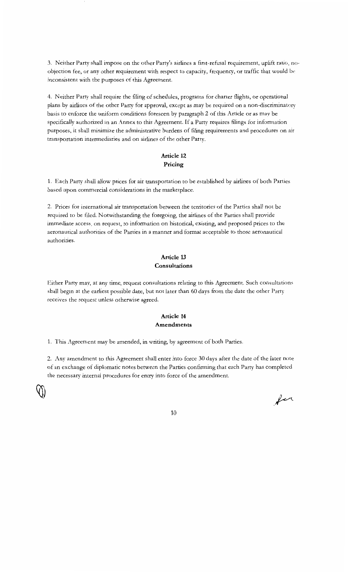3. Neither Party shall impose on the other Party's airlines a first-refusal requirement, uplift ratio, noobjection fee, or any other requirement with respect to capacity, frequency, or traffic that would be inconsistent with the purposes of this Agreement.

4. Neither Party shall require the filing of schedules, programs for charter flights, or operational plans by airlines of the other Party for approval, except as may be required on a non-discriminatory basis to enforce the uniform conditions foreseen by paragraph 2 of this Article or as may be specifically authorized in an Annex to this Agreement. If a Party requires filings for information purposes, it shall minimize the administrative burdens of filing requirements and procedures on air transportation intermediaries and on airlines of the other Party.

#### **Article 12 Pricing**

1. Each Party shall allow prices for air transportation to be established by airlines of both Parties based upon commercial considerations in the marketplace.

2. Prices for international air transportation between the territories of the Parties shall not be required to be filed. Notwithstanding the foregoing, the airlines of the Parties shall provide immediate access, on request, to information on historical, existing, and proposed prices to the aeronautical authorities of the Parties in a manner and format acceptable to those aeronautical authorities.

## **Article 13 Consultations**

Either Party may, at any time, request consultations relating to this Agreement. Such consultations shall begin at the earliest possible date, but not later than 60 days from the date the other Party receives the request unless otherwise agreed.

#### **Article 14 Amendments**

1. This Agreement may be amended, in writing, by agreement of both Parties.

2. Any amendment to this Agreement shall enter into force 30 days after the date of the later note of an exchange of diplomatic notes between the Parties confirming that each Party has completed the necessary internal procedures for entry into force of the amendment.

 $f$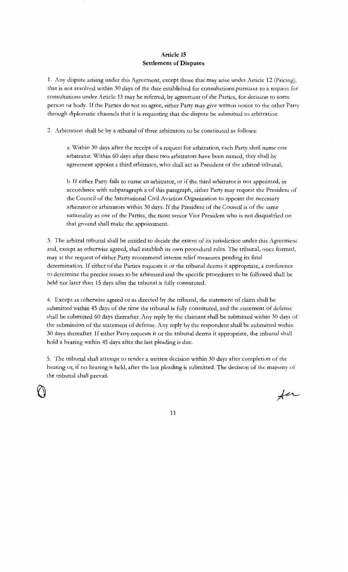## **Article 15 Settlement of Disputes**

1. Any dispute arising under this Agreement, except those that may arise under Article 12 (Pricing), that is not resolved within 30 days of the date established for consultations pursuant to a request for consultations under Article 13 may be referred, by agreement of the Parties, for decision to some person or body. If the Parties do not so agree, either Party may give written notice to the other Party through diplomatic channels that it is requesting that the dispute be submitted to arbitration.

2. Arbitration shall be by a tribunal of three arbitrators to be constituted as follows:

a. Within 30 days after the receipt of a request for arbitration, each Party shall name one arbitrator. Within 60 days after these two arbitrators have been named, they shall by agreement appoint a third arbitrator, who shall act as President of the arbitral tribunal;

b. If either Party fails to name an arbitrator, or if the third arbitrator is not appointed, in accordance with subparagraph a of this paragraph, either Party may request the President of the Council of the International Civil Aviation Organization to appoint the necessary arbitrator or arbitrators within 30 days. If the President of the Council is of the same nationality as one of the Parties, the most senior Vice President who is not disqualified on that ground shall make the appointment.

3. The arbitral tribunal shall be entitled to decide the extent of its jurisdiction under this Agreement and, except as otherwise agreed, shall establish its own procedural rules. The tribunal, once formed, may at the request of either Party recommend interim relief measures pending its final determination. If either of the Parties requests it or the tribunal deems it appropriate, a conference to determine the precise issues to be arbitrated and the specific procedures to be followed shall be held not later than 15 days after the tribunal is fully constituted.

4. Except as otherwise agreed or as directed by the tribunal, the statement of claim shall be submitted within 45 days of the time the tribunal is fully constituted, and the statement of defense shall be submitted 60 days thereafter. Any reply by the claimant shall be submitted within 30 days of the submission of the statement of defense. Any reply by the respondent shall be submitted within 30 days thereafter. If either Party requests it or the tribunal deems it appropriate, the tribunal shall hold a hearing within 45 days after the last pleading is due.

5. The tribunal shall attempt to render a written decision within 30 days after completion of the hearing or, if no hearing is held, after the last pleading is submitted. The decision of the majority of the tribunal shall prevail.

 $\overline{\mathcal{H}}$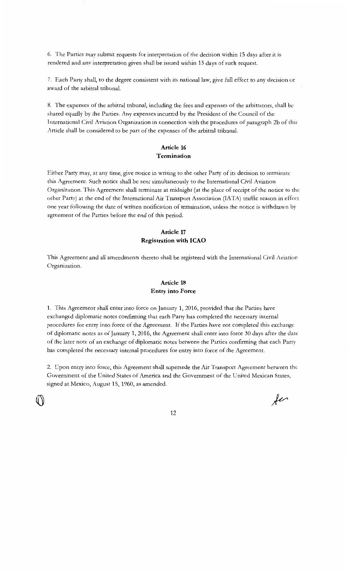6. The Parties may submit requests for interpretation of the decision within 15 days after it is rendered and any interpretation given shall be issued within 15 days of such request.

7. Each Party shall, to the degree consistent with its national law, give full effect to any decision or award of the arbitral tribunal.

8. The expenses of the arbitral tribunal, including the fees and expenses of the arbitrators, shall be shared equally by the Parties. Any expenses incurred by the President of the Council of the International Civil Aviation Organization in connection with the procedures of paragraph 2b of this Article shall be considered to be part of the expenses of the arbitral tribunal.

#### **Article 16 Termination**

Either Party may, at any time, give notice in writing to the other Party of its decision to terminate this Agreement. Such notice shall be sent simultaneously to the International Civil Aviation Organization. This Agreement shall terminate at midnight (at the place of receipt of the notice to the other Party) at the end of the International Air Transport Association (lATA) traffic season in effect one year following the date of written notification of termination, unless the notice is withdrawn by agreement of the Parties before the end of this period.

## **Article 17 Registration with ICAO**

This Agreement and all amendments thereto shall be registered with the International Civil Aviation Organization.

## **Article 18 Entry into Force**

1. This Agreement shall enter into force on January 1, 2016, provided that the Parties have exchanged diplomatic notes confirming that each Party has completed the necessary internal procedures for entry into force of the Agreement. If the Parties have not completed this exchange of diplomatic notes as of January 1, 2016, the Agreement shall enter into force 30 days after the date of the later note of an exchange of diplomatic notes between the Parties confirming that each Partv has completed the necessary internal procedures for entry into force of the Agreement.

2. Upon entry into force, this Agreement shall supersede the Air Transport Agreement between the Government of the United States of America and the Government of the United Mexican States, signed at Mexico, August 15, 1960, as amended.

 $\frac{1}{\sqrt{2}}$ 

12

 $\langle \langle \rangle$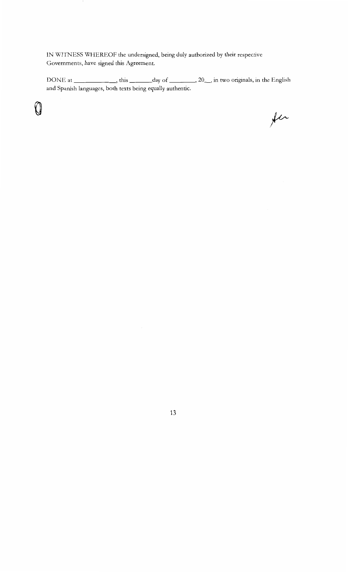IN WITNESS WHEREOF the undersigned, being duly authorized by their respective Governments, have signed this Agreement.

DONE at  $\begin{array}{|l|} \hline \end{array}$ , this day of  $\begin{array}{|l|} \hline \end{array}$ , 20\_, in two originals, in the English and Spanish languages, both texts being equally authentic.

 $\overline{\mathbb{Q}}$ 

 $\mu$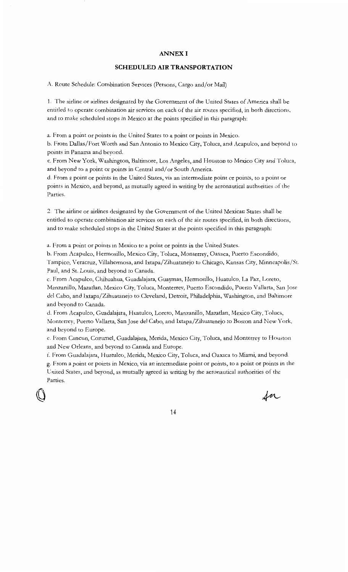#### **ANNEX I**

#### **SCHEDULED AIR TRANSPORTATION**

A. Route Schedule: Combination Services (Persons, Cargo and/or Mail)

1. The airline or airlines designated by the Government of the United States of America shall be entitled to operate combination air services on each of the air routes specified, in both directions, and to make scheduled stops in Mexico at the points specified in this paragraph:

a. From a point or points in the United States to a point or points in Mexico.

b. From Dallas/Fort Worth and San Antonio to Mexico City, Toluca, and Acapulco, and beyond to points in Panama and beyond.

c. From New York, Washington, Baltimore, Los Angeles, and Houston to Mexico City and Toluca, and beyond to a point or points in Central and/ or South America.

d. From a point or points in the United States, via an intermediate point or points, to a point or points in Mexico, and beyond, as mutually agreed in writing by the aeronautical authorities of the Parties.

2. The airline or airlines designated by the Government of the United Mexican States shall be entitled to operate combination air services on each of the air routes specified, in both directions, and to make scheduled stops in the United States at the points specified in this paragraph:

a. From a point or points in Mexico to a point or points in the United States.

b. From Acapulco, Hermosillo, Mexico City, Toluca, Monterrey, Oaxaca, Puerto Escondido, Tampico, Veracruz, Villahermosa, and Ixtapa/Zihuatanejo to Chicago, Kansas City, Minneapolis/St. Paul, and St. Louis, and beyond to Canada.

c. From Acapulco, Chihuahua, Guadalajara, Guaymas, Hermosillo, Huatulco, La Paz, Loreto, Manzanillo, Mazatlan, Mexico City, Toluca, Monterrey, Puerto Escondido, Puerto Vallarta, San Jose del Cabo, and Ixtapa/Zihuatanejo to Cleveland, Detroit, Philadelphia, Washington, and Baltimore and beyond to Canada.

d. From Acapulco, Guadalajara, Huatulco, Loreto, Manzanillo, Mazatlan, Mexico City, Toluca, Monterrey, Puerto Vallarta, San Jose del Cabo, and Ixtapa/Zihuatanejo to Boston and New York, and beyond to Europe.

e. From Cancun, Cozumel, Guadalajara, Merida, Mexico City, Toluca, and Monterrey to Houston and New Orleans, and beyond to Canada and Europe.

f. From Guadalajara, Huatulco, Merida, Mexico City, Toluca, and Oaxaca to Miami, and beyond. g. From a point or points in Mexico, via an intermediate point or points, to a point or points in the Cnited States, and beyond, as mutually agreed in writing by the aeronautical authorities of the Parties

for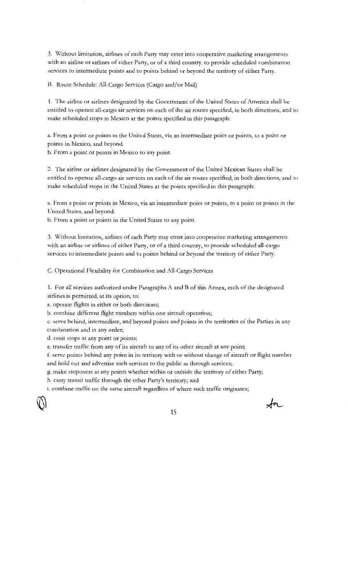3. Without limitation, airlines of each Party may enter into cooperative marketing arrangements with an airline or airlines of either Party, or of a third country, to provide scheduled combination services to intermediate points and to points behind or beyond the territory of either Party.

B. Route Schedule: All-Cargo Services (Cargo and/ or Mail)

1. The airline or airlines designated by the Government of the United States of America shall be entitled to operate all-cargo air services on each of the air routes specified, in both directions, and to make scheduled stops in Mexico at the points specified in this paragraph:

a. From a point or points in the United States, via an intermediate point or points, to a point or points in Mexico, and beyond.

b. From a point or points in Mexico to any point.

2. The airline or airlines designated by the Government of the United Mexican States shall be entitled to operate all-cargo air services on each of the air routes specified, in both directions, and to make scheduled stops in the United States at the points specified in this paragraph:

a. From a point or points in Mexico, via an intermediate point or points, to a point or points in the United States, and beyond.

b. From a point or points in the United States to any point.

3. Without limitation, airlines of each Party may enter into cooperative marketing arrangements with an airline or airlines of either Party, or of a third country, to provide scheduled all-cargo services to intermediate points and to points behind or beyond the territory of either Party.

C. Operational Flexibility for Combination and All-Cargo Services

1. For all services authorized under Paragraphs A and B of this Annex, each of the designated airlines is permitted, at its option, to:

a. operate flights in either or both directions;

b. combine different flight numbers within one aircraft operation;

c. serve behind, intermediate, and beyond points and points in the territories of the Parties in any combination and in any order;

d. omit stops at any point or points;

e. transfer traffic from any of its aircraft to any of its other aircraft at any point;

f. serve points behind any point in its territory with or without change of aircraft or flight number and hold out and advertise such services to the public as through services;

g. make stopovers at any points whether within or outside the territory of either Party;

h. carry transit traffic through the other Party's territory; and

i. combine traffic on the same aircraft regardless of where such traffic originates;

 $\frac{1}{2}$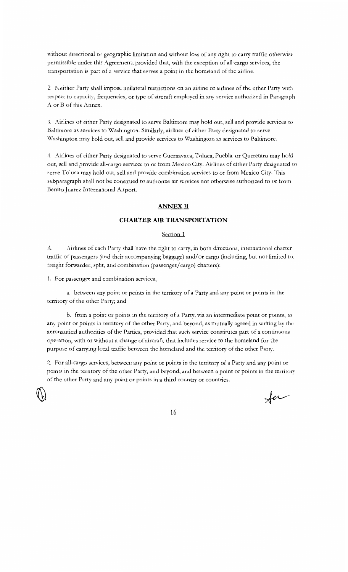without directional or geographic limitation and without loss of any right to carry traffic otherwise permissible under this Agreement; provided that, with the exception of all-cargo services, the transportation is part of a service that serves a point in the homeland of the airline.

2. Neither Party shall impose unilateral restrictions on an airline or airlines of the other Party with respect to capacity, frequencies, or type of aircraft employed in any service authorized in Paragraph A or B of this Annex.

3. Airlines of either Party designated to serve Baltimore may hold out, sell and provide services to Baltimore as services to Washington. Similarly, airlines of either Party designated to serve \X'ashington may hold out, sell and provide services to Washington as services to Baltimore.

4. Airlines of either Party designated to serve Cuernavaca, Toluca, Puebla, or Queretaro may hold out, sell and provide all-cargo services to or from Mexico City. Airlines of either Party designated to serve Toluca may hold out, sell and provide combination services to or from Mexico City. This subparagraph shall not be construed to authorize air services not otherwise authorized to or from Benito Juarez International Airport.

#### **ANNEX II**

#### **CHARTER AIR TRANSPORTATION**

#### Section 1

A. Airlines of each Party shall have the right to carry, in both directions, international charter traffic of passengers (and their accompanying baggage) and/ or cargo (including, but not limited to, freight forwarder, split, and combination (passenger/ cargo) charters):

1. For passenger and combination services,

a. between any point or points in the territory of a Party and any point or points in the territory of the other Party; and

b. from a point or points in the territory of a Party, via an intermediate point or points, to any point or points in territory of the other Party, and beyond, as mutually agreed in writing by the aeronautical authorities of the Parties, provided that such service constitutes part of a continuous operation, with or without a change of aircraft, that includes service to the homeland for the purpose of carrying local traffic between the homeland and the territory of the other Party.

2. For all-cargo services, between any point or points in the territory of a Party and any point or points in the territory of the other Party, and beyond, and between a point or points in the territory of the other Party and any point or points in a third country or countries.

 $\text{tr}$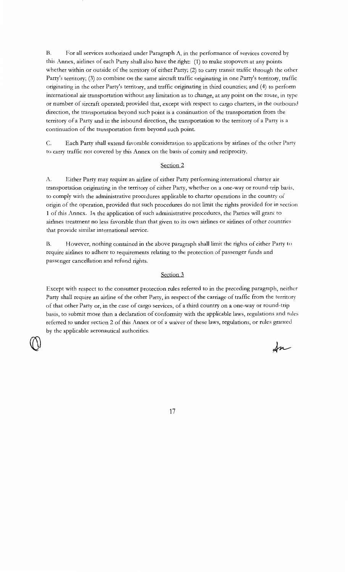B. For all services authorized under Paragraph A, in the performance of services covered by this Annex, airlines of each Party shall also have the right: (1) to make stopovers at any points whether within or outside of the territory of either Party; (2) to carry transit traffic through the other Party's territory; (3) to combine on the same aircraft traffic originating in one Party's territory, traffic originating in the other Party's territory, and traffic originating in third countries; and ( 4) to perform international air transportation without any limitation as to change, at any point on the route, in type or number of aircraft operated; provided that, except with respect to cargo charters, in the outbound direction, the transportation beyond such point is a continuation of the transportation from the territory of a Party and in the inbound direction, the transportation to the territory of a Party is a continuation of the transportation from beyond such point.

C. Each Party shall extend favorable consideration to applications by airlines of the other Party to carry traffic not covered by this Annex on the basis of comity and reciprocity.

#### Section 2

A. Either Party may require an airline of either Party performing international charter air transportation originating in the territory of either Party, whether on a one-way or round-trip basis, to comply with the administrative procedures applicable to charter operations in the country of origin of the operation, provided that such procedures do not limit the rights provided for in section 1 of this Annex. In the application of such administrative procedures, the Parties will grant to airlines treatment no less favorable than that given to its own airlines or airlines of other countries that provide similar international service.

B. However, nothing contained in the above paragraph shall limit the rights of either Party to require airlines to adhere to requirements relating to the protection of passenger funds and passenger cancellation and refund rights.

#### Section 3

Except with respect to the consumer protection rules referred to in the preceding paragraph, neither Party shall require an airline of the other Party, in respect of the carriage of traffic from the territory of that other Party or, in the case of cargo services, of a third country on a one-way or round-trip basis, to submit more than a declaration of conformity with the applicable laws, regulations and rules referred to under section 2 of this Annex or of a waiver of these laws, regulations, or rules granted by the applicable aeronautical authorities.

In